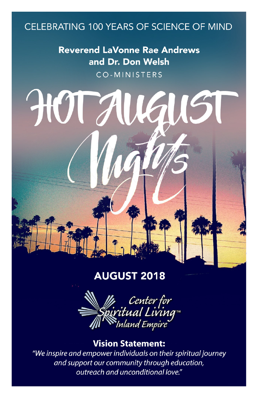## CELEBRATING 100 YEARS OF SCIENCE OF MIND

**Reverend LaVonne Rae Andrews** and Dr. Don Welsh CO-MINISTERS

161151

HUTAI

#### **AUGUST 2018**



#### **Vision Statement:**

"We inspire and empower individuals on their spiritual journey and support our community through education, outreach and unconditional love."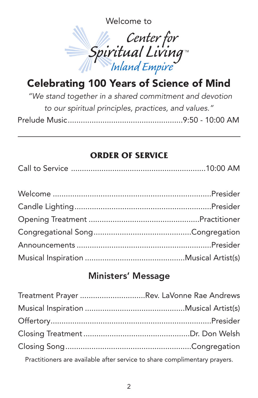Welcome to



## Celebrating 100 Years of Science of Mind

*"We stand together in a shared commitment and devotion to our spiritual principles, practices, and values."* Prelude Music.....................................................9:50 - 10:00 AM

## **ORDER OF SERVICE**

|--|--|--|--|

## Ministers' Message

| Treatment Prayer Rev. LaVonne Rae Andrews |  |
|-------------------------------------------|--|
|                                           |  |
|                                           |  |
|                                           |  |
|                                           |  |
|                                           |  |

Practitioners are available after service to share complimentary prayers.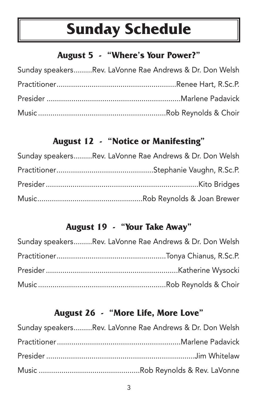## **Sunday Schedule**

## **August 5 - "Where's Your Power?"**

| Sunday speakersRev. LaVonne Rae Andrews & Dr. Don Welsh |
|---------------------------------------------------------|
|                                                         |
|                                                         |
|                                                         |

## **August 12 - "Notice or Manifesting"**

| Sunday speakersRev. LaVonne Rae Andrews & Dr. Don Welsh |
|---------------------------------------------------------|
|                                                         |
|                                                         |
|                                                         |

## **August 19 - "Your Take Away"**

| Sunday speakersRev. LaVonne Rae Andrews & Dr. Don Welsh |
|---------------------------------------------------------|
|                                                         |
|                                                         |
|                                                         |

## **August 26 - "More Life, More Love"**

| Sunday speakersRev. LaVonne Rae Andrews & Dr. Don Welsh |
|---------------------------------------------------------|
|                                                         |
|                                                         |
|                                                         |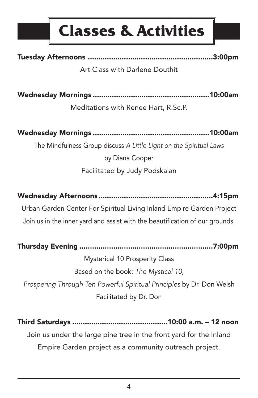

Tuesday Afternoons ...........................................................3:00pm

Art Class with Darlene Douthit

Wednesday Mornings .......................................................10:00am

Meditations with Renee Hart, R.Sc.P.

Wednesday Mornings .......................................................10:00am

The Mindfulness Group discuss *A Little Light on the Spiritual Laws*

by Diana Cooper Facilitated by Judy Podskalan

Wednesday Afternoons ......................................................4:15pm Urban Garden Center For Spiritual Living Inland Empire Garden Project Join us in the inner yard and assist with the beautification of our grounds.

Thursday Evening ...............................................................7:00pm

Mysterical 10 Prosperity Class Based on the book: *The Mystical 10, Prospering Through Ten Powerful Spiritual Principles* by Dr. Don Welsh Facilitated by Dr. Don

Third Saturdays .............................................10:00 a.m. – 12 noon Join us under the large pine tree in the front yard for the Inland Empire Garden project as a community outreach project.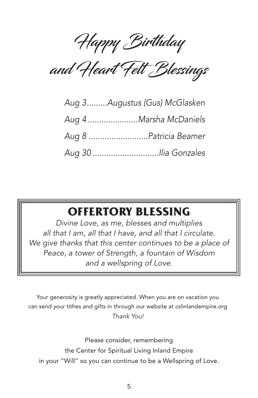Happy Birthday

and Heart Felt Blessings

| Aug 3Augustus (Gus) McGlasken |
|-------------------------------|
| Aug 4 Marsha McDaniels        |
| Aug 8 Patricia Beamer         |
|                               |

## **OFFERTORY BLESSING**

*Divine Love, as me, blesses and multiplies all that I am, all that I have, and all that I circulate. We give thanks that this center continues to be a place of Peace, a tower of Strength, a fountain of Wisdom and a wellspring of Love.*

Your generosity is greatly appreciated. When you are on vacation you can send your tithes and gifts in through our website at cslinlandempire.org *Thank You!*

Please consider, remembering the Center for Spiritual Living Inland Empire in your "Will" so you can continue to be a Wellspring of Love.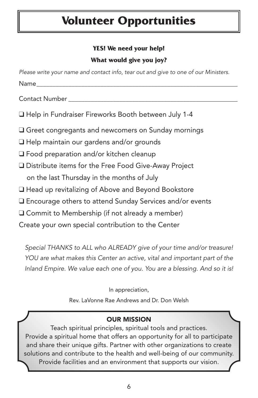## **Volunteer Opportunities**

#### **YES! We need your help!**

#### **What would give you joy?**

| Please write your name and contact info, tear out and give to one of our Ministers. |
|-------------------------------------------------------------------------------------|
| Name________                                                                        |
| Contact Number __________________                                                   |
| □ Help in Fundraiser Fireworks Booth between July 1-4                               |
| □ Greet congregants and newcomers on Sunday mornings                                |
| □ Help maintain our gardens and/or grounds                                          |
| $\Box$ Food preparation and/or kitchen cleanup                                      |
| □ Distribute items for the Free Food Give-Away Project                              |
| on the last Thursday in the months of July                                          |
| □ Head up revitalizing of Above and Beyond Bookstore                                |
| $\Box$ Encourage others to attend Sunday Services and/or events                     |
| $\Box$ Commit to Membership (if not already a member)                               |
| Create your own special contribution to the Center                                  |
| Special THANKS to ALL who ALREADY give of your time and/or treasure!                |

*YOU are what makes this Center an active, vital and important part of the Inland Empire. We value each one of you. You are a blessing. And so it is!*

In appreciation,

Rev. LaVonne Rae Andrews and Dr. Don Welsh

#### OUR MISSION

Teach spiritual principles, spiritual tools and practices. Provide a spiritual home that offers an opportunity for all to participate and share their unique gifts. Partner with other organizations to create solutions and contribute to the health and well-being of our community. Provide facilities and an environment that supports our vision.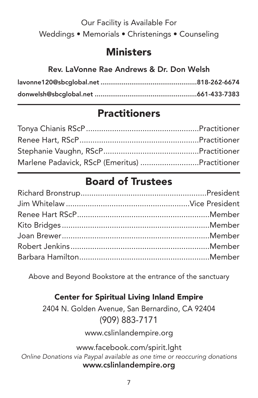## Our Facility is Available For Weddings • Memorials • Christenings • Counseling

## **Ministers**

#### Rev. LaVonne Rae Andrews & Dr. Don Welsh

## **Practitioners**

| Marlene Padavick, RScP (Emeritus) Practitioner |  |
|------------------------------------------------|--|

## Board of Trustees

Above and Beyond Bookstore at the entrance of the sanctuary

## Center for Spiritual Living Inland Empire

2404 N. Golden Avenue, San Bernardino, CA 92404 (909) 883-7171

www.cslinlandempire.org

www.facebook.com/spirit.lght *Online Donations via Paypal available as one time or reoccuring donations* www.cslinlandempire.org